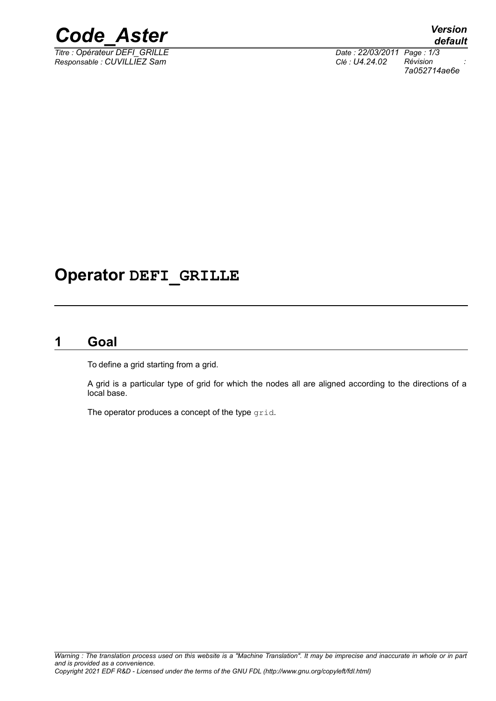

*Responsable : CUVILLIEZ Sam Clé : U4.24.02 Révision :*

*Titre : Opérateur DEFI\_GRILLE Date : 22/03/2011 Page : 1/3 7a052714ae6e*

## **Operator DEFI\_GRILLE**

### **1 Goal**

To define a grid starting from a grid.

A grid is a particular type of grid for which the nodes all are aligned according to the directions of a local base.

The operator produces a concept of the type grid.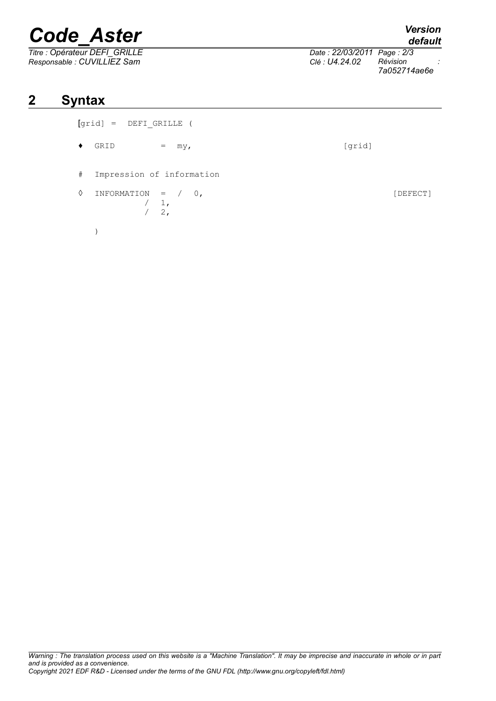# *Code\_Aster Version*

*Titre : Opérateur DEFI\_GRILLE Date : 22/03/2011 Page : 2/3*

)

## **2 Syntax**

| [qrid] | DEFT GRILLE |  |
|--------|-------------|--|
|        |             |  |

- $\bullet$  GRID = my, [grid]
- # Impression of information
- ◊ INFORMATION = / 0, [DEFECT]  $\begin{pmatrix} 1 \\ 2 \end{pmatrix}$  $2,$

*default*

*Responsable : CUVILLIEZ Sam Clé : U4.24.02 Révision : 7a052714ae6e*